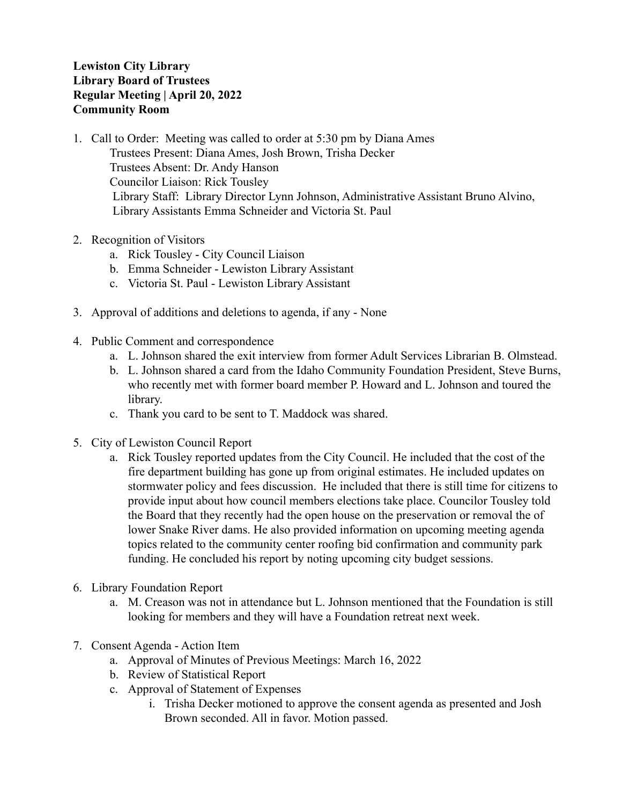## **Lewiston City Library Library Board of Trustees Regular Meeting | April 20, 2022 Community Room**

- 1. Call to Order: Meeting was called to order at 5:30 pm by Diana Ames Trustees Present: Diana Ames, Josh Brown, Trisha Decker Trustees Absent: Dr. Andy Hanson Councilor Liaison: Rick Tousley Library Staff: Library Director Lynn Johnson, Administrative Assistant Bruno Alvino, Library Assistants Emma Schneider and Victoria St. Paul
- 2. Recognition of Visitors
	- a. Rick Tousley City Council Liaison
	- b. Emma Schneider Lewiston Library Assistant
	- c. Victoria St. Paul Lewiston Library Assistant
- 3. Approval of additions and deletions to agenda, if any None
- 4. Public Comment and correspondence
	- a. L. Johnson shared the exit interview from former Adult Services Librarian B. Olmstead.
	- b. L. Johnson shared a card from the Idaho Community Foundation President, Steve Burns, who recently met with former board member P. Howard and L. Johnson and toured the library.
	- c. Thank you card to be sent to T. Maddock was shared.
- 5. City of Lewiston Council Report
	- a. Rick Tousley reported updates from the City Council. He included that the cost of the fire department building has gone up from original estimates. He included updates on stormwater policy and fees discussion. He included that there is still time for citizens to provide input about how council members elections take place. Councilor Tousley told the Board that they recently had the open house on the preservation or removal the of lower Snake River dams. He also provided information on upcoming meeting agenda topics related to the community center roofing bid confirmation and community park funding. He concluded his report by noting upcoming city budget sessions.
- 6. Library Foundation Report
	- a. M. Creason was not in attendance but L. Johnson mentioned that the Foundation is still looking for members and they will have a Foundation retreat next week.
- 7. Consent Agenda Action Item
	- a. Approval of Minutes of Previous Meetings: March 16, 2022
	- b. Review of Statistical Report
	- c. Approval of Statement of Expenses
		- i. Trisha Decker motioned to approve the consent agenda as presented and Josh Brown seconded. All in favor. Motion passed.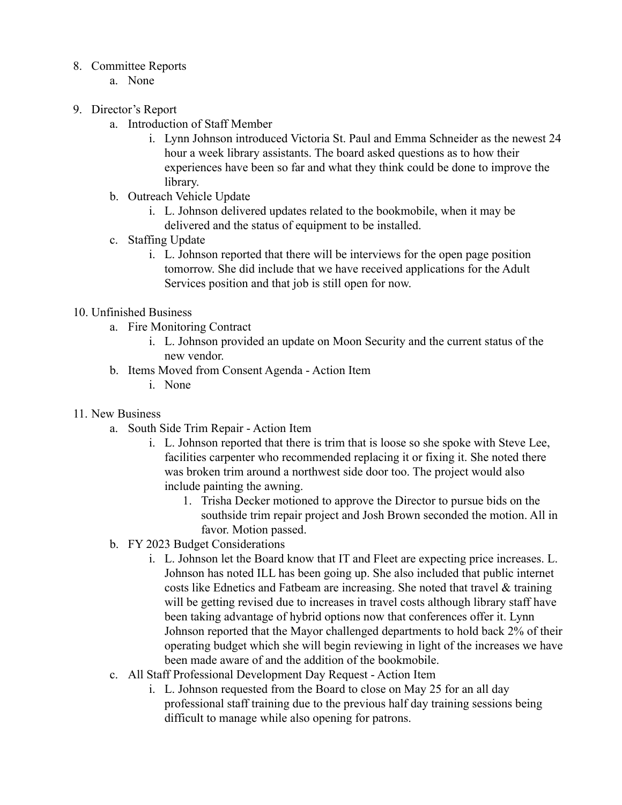## 8. Committee Reports

- a. None
- 9. Director's Report
	- a. Introduction of Staff Member
		- i. Lynn Johnson introduced Victoria St. Paul and Emma Schneider as the newest 24 hour a week library assistants. The board asked questions as to how their experiences have been so far and what they think could be done to improve the library.
	- b. Outreach Vehicle Update
		- i. L. Johnson delivered updates related to the bookmobile, when it may be delivered and the status of equipment to be installed.
	- c. Staffing Update
		- i. L. Johnson reported that there will be interviews for the open page position tomorrow. She did include that we have received applications for the Adult Services position and that job is still open for now.

## 10. Unfinished Business

- a. Fire Monitoring Contract
	- i. L. Johnson provided an update on Moon Security and the current status of the new vendor.
- b. Items Moved from Consent Agenda Action Item
	- i. None
- 11. New Business
	- a. South Side Trim Repair Action Item
		- i. L. Johnson reported that there is trim that is loose so she spoke with Steve Lee, facilities carpenter who recommended replacing it or fixing it. She noted there was broken trim around a northwest side door too. The project would also include painting the awning.
			- 1. Trisha Decker motioned to approve the Director to pursue bids on the southside trim repair project and Josh Brown seconded the motion. All in favor. Motion passed.
	- b. FY 2023 Budget Considerations
		- i. L. Johnson let the Board know that IT and Fleet are expecting price increases. L. Johnson has noted ILL has been going up. She also included that public internet costs like Ednetics and Fatbeam are increasing. She noted that travel & training will be getting revised due to increases in travel costs although library staff have been taking advantage of hybrid options now that conferences offer it. Lynn Johnson reported that the Mayor challenged departments to hold back 2% of their operating budget which she will begin reviewing in light of the increases we have been made aware of and the addition of the bookmobile.
	- c. All Staff Professional Development Day Request Action Item
		- i. L. Johnson requested from the Board to close on May 25 for an all day professional staff training due to the previous half day training sessions being difficult to manage while also opening for patrons.